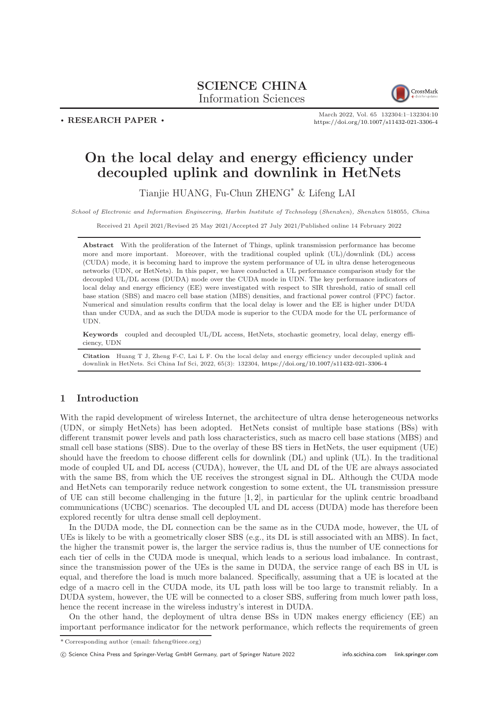# SCIENCE CHINA Information Sciences



 $\cdot$  RESEARCH PAPER  $\cdot$ 

March 2022, Vol. 65 132304:1–132304[:10](#page-9-0) <https://doi.org/10.1007/s11432-021-3306-4>

# On the local delay and energy efficiency under decoupled uplink and downlink in HetNets

Tianjie HUANG, Fu-Chun ZHENG\* & Lifeng LAI

School of Electronic and Information Engineering, Harbin Institute of Technology (Shenzhen), Shenzhen 518055, China

Received 21 April 2021/Revised 25 May 2021/Accepted 27 July 2021/Published online 14 February 2022

Abstract With the proliferation of the Internet of Things, uplink transmission performance has become more and more important. Moreover, with the traditional coupled uplink (UL)/downlink (DL) access (CUDA) mode, it is becoming hard to improve the system performance of UL in ultra dense heterogeneous networks (UDN, or HetNets). In this paper, we have conducted a UL performance comparison study for the decoupled UL/DL access (DUDA) mode over the CUDA mode in UDN. The key performance indicators of local delay and energy efficiency (EE) were investigated with respect to SIR threshold, ratio of small cell base station (SBS) and macro cell base station (MBS) densities, and fractional power control (FPC) factor. Numerical and simulation results confirm that the local delay is lower and the EE is higher under DUDA than under CUDA, and as such the DUDA mode is superior to the CUDA mode for the UL performance of UDN.

Keywords coupled and decoupled UL/DL access, HetNets, stochastic geometry, local delay, energy efficiency, UDN

Citation Huang T J, Zheng F-C, Lai L F. On the local delay and energy efficiency under decoupled uplink and downlink in HetNets. Sci China Inf Sci, 2022, 65(3): 132304, <https://doi.org/10.1007/s11432-021-3306-4>

# 1 Introduction

With the rapid development of wireless Internet, the architecture of ultra dense heterogeneous networks (UDN, or simply HetNets) has been adopted. HetNets consist of multiple base stations (BSs) with different transmit power levels and path loss characteristics, such as macro cell base stations (MBS) and small cell base stations (SBS). Due to the overlay of these BS tiers in HetNets, the user equipment (UE) should have the freedom to choose different cells for downlink (DL) and uplink (UL). In the traditional mode of coupled UL and DL access (CUDA), however, the UL and DL of the UE are always associated with the same BS, from which the UE receives the strongest signal in DL. Although the CUDA mode and HetNets can temporarily reduce network congestion to some extent, the UL transmission pressure of UE can still become challenging in the future [\[1,](#page-8-0) [2\]](#page-8-1), in particular for the uplink centric broadband communications (UCBC) scenarios. The decoupled UL and DL access (DUDA) mode has therefore been explored recently for ultra dense small cell deployment.

In the DUDA mode, the DL connection can be the same as in the CUDA mode, however, the UL of UEs is likely to be with a geometrically closer SBS (e.g., its DL is still associated with an MBS). In fact, the higher the transmit power is, the larger the service radius is, thus the number of UE connections for each tier of cells in the CUDA mode is unequal, which leads to a serious load imbalance. In contrast, since the transmission power of the UEs is the same in DUDA, the service range of each BS in UL is equal, and therefore the load is much more balanced. Specifically, assuming that a UE is located at the edge of a macro cell in the CUDA mode, its UL path loss will be too large to transmit reliably. In a DUDA system, however, the UE will be connected to a closer SBS, suffering from much lower path loss, hence the recent increase in the wireless industry's interest in DUDA.

On the other hand, the deployment of ultra dense BSs in UDN makes energy efficiency (EE) an important performance indicator for the network performance, which reflects the requirements of green

<sup>\*</sup> Corresponding author (email: fzheng@ieee.org)

c Science China Press and Springer-Verlag GmbH Germany, part of Springer Nature 2022 <info.scichina.com><link.springer.com>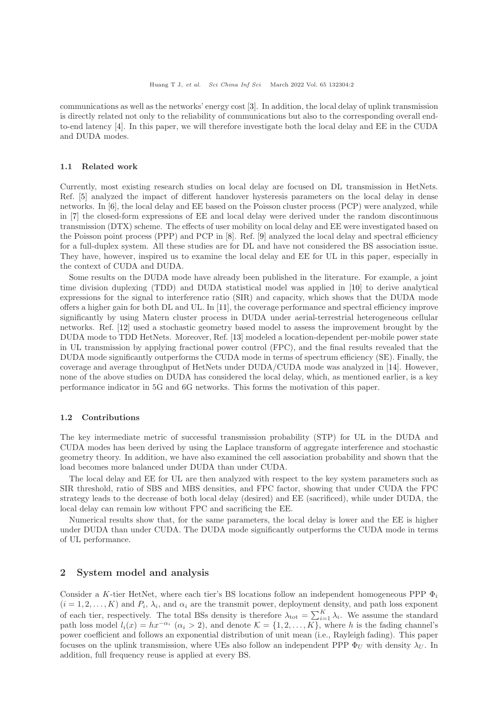communications as well as the networks' energy cost [\[3\]](#page-8-2). In addition, the local delay of uplink transmission is directly related not only to the reliability of communications but also to the corresponding overall endto-end latency [\[4\]](#page-8-3). In this paper, we will therefore investigate both the local delay and EE in the CUDA and DUDA modes.

# 1.1 Related work

Currently, most existing research studies on local delay are focused on DL transmission in HetNets. Ref. [\[5\]](#page-8-4) analyzed the impact of different handover hysteresis parameters on the local delay in dense networks. In [\[6\]](#page-8-5), the local delay and EE based on the Poisson cluster process (PCP) were analyzed, while in [\[7\]](#page-8-6) the closed-form expressions of EE and local delay were derived under the random discontinuous transmission (DTX) scheme. The effects of user mobility on local delay and EE were investigated based on the Poisson point process (PPP) and PCP in [\[8\]](#page-8-7). Ref. [\[9\]](#page-8-8) analyzed the local delay and spectral efficiency for a full-duplex system. All these studies are for DL and have not considered the BS association issue. They have, however, inspired us to examine the local delay and EE for UL in this paper, especially in the context of CUDA and DUDA.

Some results on the DUDA mode have already been published in the literature. For example, a joint time division duplexing (TDD) and DUDA statistical model was applied in [\[10\]](#page-8-9) to derive analytical expressions for the signal to interference ratio (SIR) and capacity, which shows that the DUDA mode offers a higher gain for both DL and UL. In [\[11\]](#page-8-10), the coverage performance and spectral efficiency improve significantly by using Matern cluster process in DUDA under aerial-terrestrial heterogeneous cellular networks. Ref. [\[12\]](#page-8-11) used a stochastic geometry based model to assess the improvement brought by the DUDA mode to TDD HetNets. Moreover, Ref. [\[13\]](#page-8-12) modeled a location-dependent per-mobile power state in UL transmission by applying fractional power control (FPC), and the final results revealed that the DUDA mode significantly outperforms the CUDA mode in terms of spectrum efficiency (SE). Finally, the coverage and average throughput of HetNets under DUDA/CUDA mode was analyzed in [\[14\]](#page-8-13). However, none of the above studies on DUDA has considered the local delay, which, as mentioned earlier, is a key performance indicator in 5G and 6G networks. This forms the motivation of this paper.

# 1.2 Contributions

The key intermediate metric of successful transmission probability (STP) for UL in the DUDA and CUDA modes has been derived by using the Laplace transform of aggregate interference and stochastic geometry theory. In addition, we have also examined the cell association probability and shown that the load becomes more balanced under DUDA than under CUDA.

The local delay and EE for UL are then analyzed with respect to the key system parameters such as SIR threshold, ratio of SBS and MBS densities, and FPC factor, showing that under CUDA the FPC strategy leads to the decrease of both local delay (desired) and EE (sacrificed), while under DUDA, the local delay can remain low without FPC and sacrificing the EE.

Numerical results show that, for the same parameters, the local delay is lower and the EE is higher under DUDA than under CUDA. The DUDA mode significantly outperforms the CUDA mode in terms of UL performance.

# 2 System model and analysis

Consider a K-tier HetNet, where each tier's BS locations follow an independent homogeneous PPP  $\Phi_i$  $(i = 1, 2, \ldots, K)$  and  $P_i$ ,  $\lambda_i$ , and  $\alpha_i$  are the transmit power, deployment density, and path loss exponent of each tier, respectively. The total BSs density is therefore  $\lambda_{\text{tot}} = \sum_{i=1}^{K} \lambda_i$ . We assume the standard path loss model  $l_i(x) = hx^{-\alpha_i}$   $(\alpha_i > 2)$ , and denote  $\mathcal{K} = \{1, 2, ..., K\}$ , where h is the fading channel's power coefficient and follows an exponential distribution of unit mean (i.e., Rayleigh fading). This paper focuses on the uplink transmission, where UEs also follow an independent PPP  $\Phi_U$  with density  $\lambda_U$ . In addition, full frequency reuse is applied at every BS.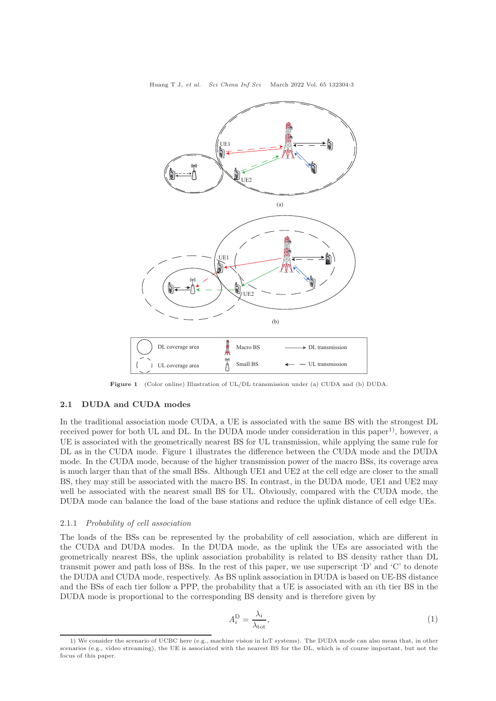Huang T J, et al. Sci China Inf Sci March 2022 Vol. 65 132304:3



Figure 1 (Color online) Illustration of UL/DL transmission under (a) CUDA and (b) DUDA.

# 2.1 DUDA and CUDA modes

In the traditional association mode CUDA, a UE is associated with the same BS with the strongest DL received power for both UL and DL. In the DUDA mode under consideration in this paper<sup>1)</sup>, however, a UE is associated with the geometrically nearest BS for UL transmission, while applying the same rule for DL as in the CUDA mode. Figure 1 illustrates the difference between the CUDA mode and the DUDA mode. In the CUDA mode, because of the higher transmission power of the macro BSs, its coverage area is much larger than that of the small BSs. Although UE1 and UE2 at the cell edge are closer to the small BS, they may still be associated with the macro BS. In contrast, in the DUDA mode, UE1 and UE2 may well be associated with the nearest small BS for UL. Obviously, compared with the CUDA mode, the DUDA mode can balance the load of the base stations and reduce the uplink distance of cell edge UEs.

#### 2.1.1 Probability of cell association

The loads of the BSs can be represented by the probability of cell association, which are different in the CUDA and DUDA modes. In the DUDA mode, as the uplink the UEs are associated with the geometrically nearest BSs, the uplink association probability is related to BS density rather than DL transmit power and path loss of BSs. In the rest of this paper, we use superscript 'D' and 'C' to denote the DUDA and CUDA mode, respectively. As BS uplink association in DUDA is based on UE-BS distance and the BSs of each tier follow a PPP, the probability that a UE is associated with an ith tier BS in the DUDA mode is proportional to the corresponding BS density and is therefore given by

$$
A_i^{\mathcal{D}} = \frac{\lambda_i}{\lambda_{\text{tot}}},\tag{1}
$$

<sup>1)</sup> We consider the scenario of UCBC here (e.g., machine vision in IoT systems). The DUDA mode can also mean that, in other scenarios (e.g., video streaming), the UE is associated with the nearest BS for the DL, which is of course important, but not the focus of this paper.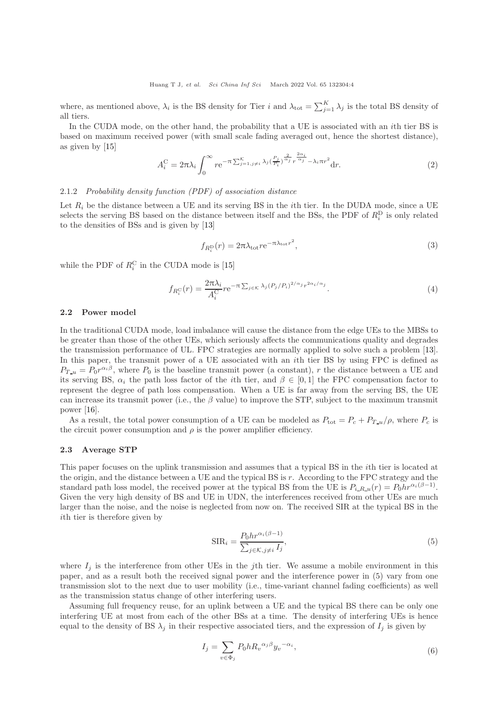where, as mentioned above,  $\lambda_i$  is the BS density for Tier i and  $\lambda_{\text{tot}} = \sum_{j=1}^K \lambda_j$  is the total BS density of all tiers.

In the CUDA mode, on the other hand, the probability that a UE is associated with an ith tier BS is based on maximum received power (with small scale fading averaged out, hence the shortest distance), as given by [\[15\]](#page-8-14)

$$
A_i^{\mathcal{C}} = 2\pi\lambda_i \int_0^\infty r e^{-\pi \sum_{j=1, j\neq i}^{\mathcal{K}} \lambda_j \left(\frac{P_j}{P_i}\right)^{\frac{2}{\alpha_j}} r^{\frac{2\alpha_i}{\alpha_j}} - \lambda_i \pi r^2} dr.
$$
 (2)

# 2.1.2 Probability density function (PDF) of association distance

Let  $R_i$  be the distance between a UE and its serving BS in the *i*th tier. In the DUDA mode, since a UE selects the serving BS based on the distance between itself and the BSs, the PDF of  $R_i^D$  is only related to the densities of BSs and is given by [\[13\]](#page-8-12)

$$
f_{R_i^{\rm D}}(r) = 2\pi \lambda_{\rm tot} r e^{-\pi \lambda_{\rm tot} r^2},\tag{3}
$$

while the PDF of  $R_i^{\text{C}}$  in the CUDA mode is [\[15\]](#page-8-14)

$$
f_{R_i^C}(r) = \frac{2\pi\lambda_i}{A_i^C} r e^{-\pi \sum_{j \in \mathcal{K}} \lambda_j (P_j/P_i)^{2/\alpha_j} r^{2\alpha_i/\alpha_j}}.
$$
 (4)

#### 2.2 Power model

In the traditional CUDA mode, load imbalance will cause the distance from the edge UEs to the MBSs to be greater than those of the other UEs, which seriously affects the communications quality and degrades the transmission performance of UL. FPC strategies are normally applied to solve such a problem [\[13\]](#page-8-12). In this paper, the transmit power of a UE associated with an *i*th tier BS by using FPC is defined as  $P_{T_{-}u} = P_0 r^{\alpha_i \beta}$ , where  $P_0$  is the baseline transmit power (a constant), r the distance between a UE and its serving BS,  $\alpha_i$  the path loss factor of the *i*th tier, and  $\beta \in [0,1]$  the FPC compensation factor to represent the degree of path loss compensation. When a UE is far away from the serving BS, the UE can increase its transmit power (i.e., the  $\beta$  value) to improve the STP, subject to the maximum transmit power [\[16\]](#page-8-15).

As a result, the total power consumption of a UE can be modeled as  $P_{\text{tot}} = P_c + P_{T_u} / \rho$ , where  $P_c$  is the circuit power consumption and  $\rho$  is the power amplifier efficiency.

#### 2.3 Average STP

This paper focuses on the uplink transmission and assumes that a typical BS in the ith tier is located at the origin, and the distance between a UE and the typical BS is r. According to the FPC strategy and the standard path loss model, the received power at the typical BS from the UE is  $P_{i,R,u}(r) = P_0 hr^{\alpha_i(\beta-1)}$ . Given the very high density of BS and UE in UDN, the interferences received from other UEs are much larger than the noise, and the noise is neglected from now on. The received SIR at the typical BS in the ith tier is therefore given by

$$
SIR_i = \frac{P_0hr^{\alpha_i(\beta - 1)}}{\sum_{j \in \mathcal{K}, j \neq i} I_j},\tag{5}
$$

where  $I_j$  is the interference from other UEs in the jth tier. We assume a mobile environment in this paper, and as a result both the received signal power and the interference power in (5) vary from one transmission slot to the next due to user mobility (i.e., time-variant channel fading coefficients) as well as the transmission status change of other interfering users.

Assuming full frequency reuse, for an uplink between a UE and the typical BS there can be only one interfering UE at most from each of the other BSs at a time. The density of interfering UEs is hence equal to the density of BS  $\lambda_i$  in their respective associated tiers, and the expression of  $I_i$  is given by

$$
I_j = \sum_{v \in \Phi_j} P_0 h R_v^{\alpha_j \beta} y_v^{-\alpha_i},\tag{6}
$$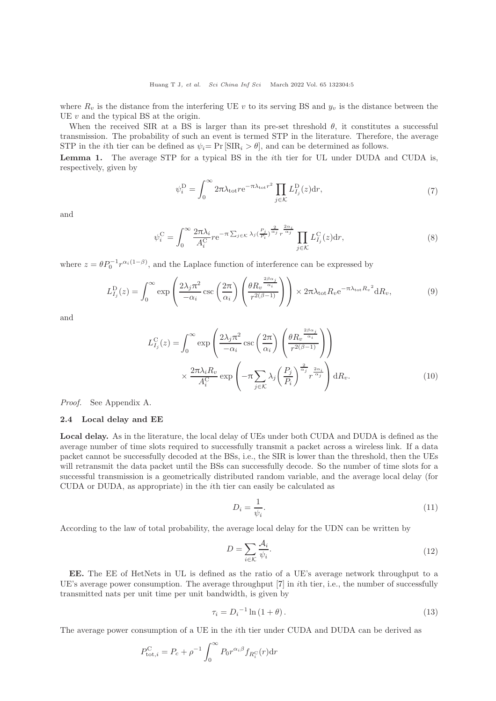Huang T J, et al. Sci China Inf Sci March 2022 Vol. 65 132304:5

where  $R_v$  is the distance from the interfering UE v to its serving BS and  $y_v$  is the distance between the UE  $v$  and the typical BS at the origin.

When the received SIR at a BS is larger than its pre-set threshold  $\theta$ , it constitutes a successful transmission. The probability of such an event is termed STP in the literature. Therefore, the average STP in the *i*th tier can be defined as  $\psi_i = \Pr[\text{SIR}_i > \theta]$ , and can be determined as follows.

Lemma 1. The average STP for a typical BS in the *i*th tier for UL under DUDA and CUDA is, respectively, given by

$$
\psi_i^{\mathcal{D}} = \int_0^\infty 2\pi \lambda_{\text{tot}} r e^{-\pi \lambda_{\text{tot}} r^2} \prod_{j \in \mathcal{K}} L_{I_j}^{\mathcal{D}}(z) dr,\tag{7}
$$

and

$$
\psi_i^{\mathcal{C}} = \int_0^\infty \frac{2\pi\lambda_i}{A_i^{\mathcal{C}}} r e^{-\pi \sum_{j \in \mathcal{K}} \lambda_j \left(\frac{P_j}{P_i}\right)^{\frac{2}{\alpha_j}} r^{\frac{2\alpha_i}{\alpha_j}}} \prod_{j \in \mathcal{K}} L_{I_j}^{\mathcal{C}}(z) dr,
$$
\n(8)

where  $z = \theta P_0^{-1} r^{\alpha_i(1-\beta)}$ , and the Laplace function of interference can be expressed by

$$
L_{I_j}^{\mathcal{D}}(z) = \int_0^\infty \exp\left(\frac{2\lambda_j \pi^2}{-\alpha_i} \csc\left(\frac{2\pi}{\alpha_i}\right) \left(\frac{\theta R_v^{\frac{2\beta \alpha_j}{\alpha_i}}}{r^{2(\beta-1)}}\right)\right) \times 2\pi \lambda_{\text{tot}} R_v e^{-\pi \lambda_{\text{tot}} R_v^2} dR_v, \tag{9}
$$

and

$$
L_{I_j}^C(z) = \int_0^\infty \exp\left(\frac{2\lambda_j \pi^2}{-\alpha_i} \csc\left(\frac{2\pi}{\alpha_i}\right) \left(\frac{\theta R_v^{\frac{2\beta \alpha_j}{\alpha_i}}}{r^{2(\beta-1)}}\right)\right)
$$

$$
\times \frac{2\pi \lambda_i R_v}{A_i^C} \exp\left(-\pi \sum_{j \in \mathcal{K}} \lambda_j \left(\frac{P_j}{P_i}\right)^{\frac{2}{\alpha_j}} r^{\frac{2\alpha_i}{\alpha_j}}\right) dR_v.
$$
(10)

Proof. See Appendix A.

#### 2.4 Local delay and EE

Local delay. As in the literature, the local delay of UEs under both CUDA and DUDA is defined as the average number of time slots required to successfully transmit a packet across a wireless link. If a data packet cannot be successfully decoded at the BSs, i.e., the SIR is lower than the threshold, then the UEs will retransmit the data packet until the BSs can successfully decode. So the number of time slots for a successful transmission is a geometrically distributed random variable, and the average local delay (for CUDA or DUDA, as appropriate) in the ith tier can easily be calculated as

$$
D_i = \frac{1}{\psi_i}.\tag{11}
$$

According to the law of total probability, the average local delay for the UDN can be written by

$$
D = \sum_{i \in \mathcal{K}} \frac{\mathcal{A}_i}{\psi_i}.
$$
\n(12)

EE. The EE of HetNets in UL is defined as the ratio of a UE's average network throughput to a UE's average power consumption. The average throughput [\[7\]](#page-8-6) in ith tier, i.e., the number of successfully transmitted nats per unit time per unit bandwidth, is given by

$$
\tau_i = D_i^{-1} \ln (1 + \theta). \tag{13}
$$

The average power consumption of a UE in the ith tier under CUDA and DUDA can be derived as

$$
P_{\text{tot},i}^{\text{C}} = P_c + \rho^{-1} \int_0^\infty P_0 r^{\alpha_i \beta} f_{R_i^{\text{C}}}(r) dr
$$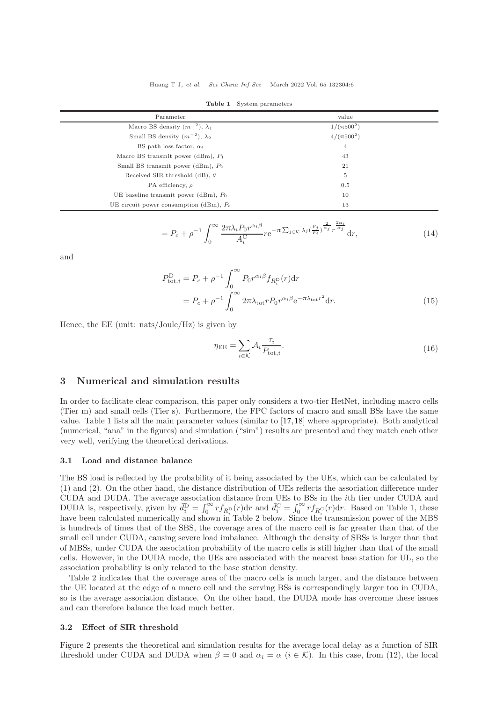| Parameter                                 | value           |  |
|-------------------------------------------|-----------------|--|
| Macro BS density $(m^{-2})$ , $\lambda_1$ | $1/(\pi 500^2)$ |  |
| Small BS density $(m^{-2})$ , $\lambda_2$ | $4/(\pi 500^2)$ |  |
| BS path loss factor, $\alpha_i$           | $\overline{4}$  |  |
| Macro BS transmit power (dBm), $P_1$      | 43              |  |
| Small BS transmit power (dBm), $P_2$      | 21              |  |
| Received SIR threshold (dB), $\theta$     | $\overline{5}$  |  |
| PA efficiency, $\rho$                     | 0.5             |  |
| UE baseline transmit power (dBm), $P_0$   | 10              |  |
| UE circuit power consumption (dBm), $P_c$ | 13              |  |
|                                           |                 |  |

Table 1 System parameters

$$
=P_c+\rho^{-1}\int_0^\infty\frac{2\pi\lambda_iP_0r^{\alpha_i\beta}}{A_i^C}re^{-\pi\sum_{j\in\mathcal{K}}\lambda_j\left(\frac{P_j}{P_i}\right)^{\frac{2}{\alpha_j}}r^{\frac{2\alpha_i}{\alpha_j}}}\mathrm{d}r,\tag{14}
$$

and

$$
P_{\text{tot},i}^{\text{D}} = P_c + \rho^{-1} \int_0^\infty P_0 r^{\alpha_i \beta} f_{R_i^{\text{D}}}(r) dr
$$
  
= 
$$
P_c + \rho^{-1} \int_0^\infty 2\pi \lambda_{\text{tot}} r P_0 r^{\alpha_i \beta} e^{-\pi \lambda_{\text{tot}} r^2} dr.
$$
 (15)

Hence, the EE (unit: nats/Joule/Hz) is given by

$$
\eta_{\rm EE} = \sum_{i \in \mathcal{K}} \mathcal{A}_i \frac{\tau_i}{P_{\text{tot},i}}.\tag{16}
$$

# 3 Numerical and simulation results

In order to facilitate clear comparison, this paper only considers a two-tier HetNet, including macro cells (Tier m) and small cells (Tier s). Furthermore, the FPC factors of macro and small BSs have the same value. Table 1 lists all the main parameter values (similar to [\[17,](#page-8-16)[18\]](#page-9-1) where appropriate). Both analytical (numerical, "ana" in the figures) and simulation ("sim") results are presented and they match each other very well, verifying the theoretical derivations.

#### 3.1 Load and distance balance

The BS load is reflected by the probability of it being associated by the UEs, which can be calculated by (1) and (2). On the other hand, the distance distribution of UEs reflects the association difference under CUDA and DUDA. The average association distance from UEs to BSs in the ith tier under CUDA and DUDA is, respectively, given by  $\bar{d}_i^D = \int_0^\infty r f_{R_i^D}(r) dr$  and  $\bar{d}_i^C = \int_0^\infty r f_{R_i^C}(r) dr$ . Based on Table 1, these have been calculated numerically and shown in Table 2 below. Since the transmission power of the MBS is hundreds of times that of the SBS, the coverage area of the macro cell is far greater than that of the small cell under CUDA, causing severe load imbalance. Although the density of SBSs is larger than that of MBSs, under CUDA the association probability of the macro cells is still higher than that of the small cells. However, in the DUDA mode, the UEs are associated with the nearest base station for UL, so the association probability is only related to the base station density.

Table 2 indicates that the coverage area of the macro cells is much larger, and the distance between the UE located at the edge of a macro cell and the serving BSs is correspondingly larger too in CUDA, so is the average association distance. On the other hand, the DUDA mode has overcome these issues and can therefore balance the load much better.

#### 3.2 Effect of SIR threshold

Figure 2 presents the theoretical and simulation results for the average local delay as a function of SIR threshold under CUDA and DUDA when  $\beta = 0$  and  $\alpha_i = \alpha$  ( $i \in \mathcal{K}$ ). In this case, from (12), the local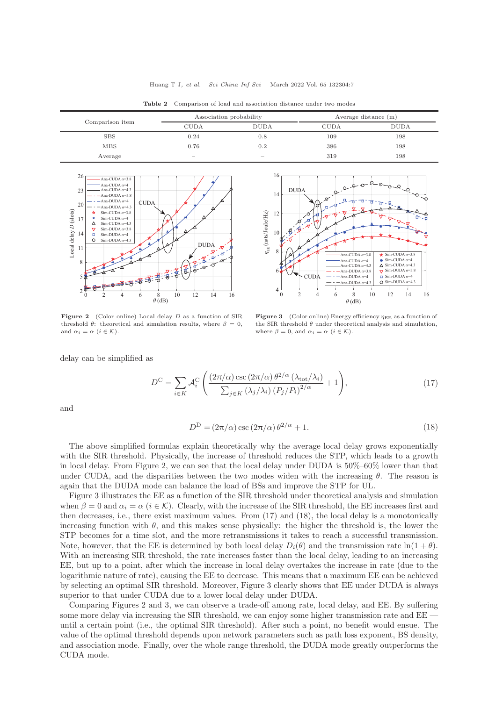Huang T J, et al. Sci China Inf Sci March 2022 Vol. 65 132304:7

| Comparison item | Association probability |             | Average distance $(m)$ |             |
|-----------------|-------------------------|-------------|------------------------|-------------|
|                 | <b>CUDA</b>             | <b>DUDA</b> | <b>CUDA</b>            | <b>DUDA</b> |
| <b>SBS</b>      | 0.24                    | $_{0.8}$    | 109                    | 198         |
| <b>MBS</b>      | 0.76                    | 0.2         | 386                    | 198         |
| Average         | $\sim$                  | $-$         | 319                    | 198         |

14

 $D$ I $D$  $\Delta$ 

16

Table 2 Comparison of load and association distance under two modes



**Figure 2** (Color online) Local delay  $D$  as a function of SIR threshold  $\theta$ : theoretical and simulation results, where  $\beta = 0$ , and  $\alpha_i = \alpha$   $(i \in \mathcal{K})$ .



Figure 3 (Color online) Energy efficiency  $\eta_{EE}$  as a function of the SIR threshold  $\theta$  under theoretical analysis and simulation, where  $\beta = 0$ , and  $\alpha_i = \alpha$  ( $i \in \mathcal{K}$ ).

delay can be simplified as

$$
D^{\mathcal{C}} = \sum_{i \in K} \mathcal{A}_i^{\mathcal{C}} \left( \frac{(2\pi/\alpha) \csc(2\pi/\alpha) \theta^{2/\alpha} (\lambda_{\text{tot}}/\lambda_i)}{\sum_{j \in K} (\lambda_j/\lambda_i) (P_j/P_i)^{2/\alpha}} + 1 \right),\tag{17}
$$

and

$$
D^D = (2\pi/\alpha)\csc(2\pi/\alpha)\theta^{2/\alpha} + 1.
$$
\n(18)

The above simplified formulas explain theoretically why the average local delay grows exponentially with the SIR threshold. Physically, the increase of threshold reduces the STP, which leads to a growth in local delay. From Figure 2, we can see that the local delay under DUDA is 50%–60% lower than that under CUDA, and the disparities between the two modes widen with the increasing  $\theta$ . The reason is again that the DUDA mode can balance the load of BSs and improve the STP for UL.

Figure 3 illustrates the EE as a function of the SIR threshold under theoretical analysis and simulation when  $\beta = 0$  and  $\alpha_i = \alpha$  ( $i \in \mathcal{K}$ ). Clearly, with the increase of the SIR threshold, the EE increases first and then decreases, i.e., there exist maximum values. From (17) and (18), the local delay is a monotonically increasing function with  $\theta$ , and this makes sense physically: the higher the threshold is, the lower the STP becomes for a time slot, and the more retransmissions it takes to reach a successful transmission. Note, however, that the EE is determined by both local delay  $D_i(\theta)$  and the transmission rate  $\ln(1+\theta)$ . With an increasing SIR threshold, the rate increases faster than the local delay, leading to an increasing EE, but up to a point, after which the increase in local delay overtakes the increase in rate (due to the logarithmic nature of rate), causing the EE to decrease. This means that a maximum EE can be achieved by selecting an optimal SIR threshold. Moreover, Figure 3 clearly shows that EE under DUDA is always superior to that under CUDA due to a lower local delay under DUDA.

Comparing Figures 2 and 3, we can observe a trade-off among rate, local delay, and EE. By suffering some more delay via increasing the SIR threshold, we can enjoy some higher transmission rate and EE until a certain point (i.e., the optimal SIR threshold). After such a point, no benefit would ensue. The value of the optimal threshold depends upon network parameters such as path loss exponent, BS density, and association mode. Finally, over the whole range threshold, the DUDA mode greatly outperforms the CUDA mode.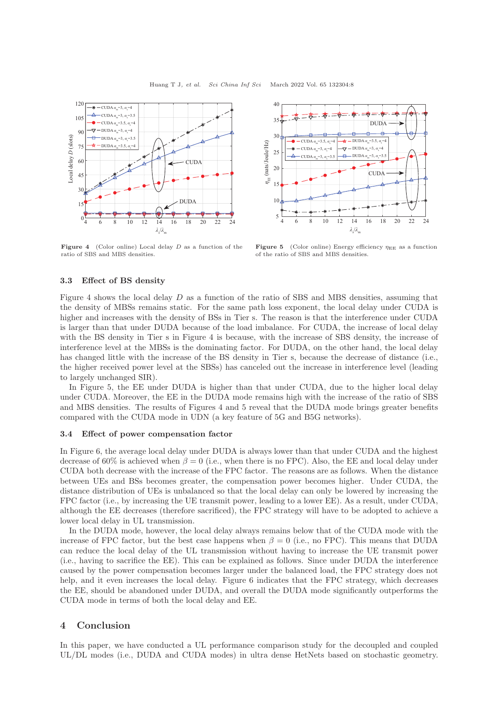

**Figure 4** (Color online) Local delay  $D$  as a function of the ratio of SBS and MBS densities.



Figure 5 (Color online) Energy efficiency  $\eta_{EE}$  as a function of the ratio of SBS and MBS densities.

# 3.3 Effect of BS density

Figure 4 shows the local delay  $D$  as a function of the ratio of SBS and MBS densities, assuming that the density of MBSs remains static. For the same path loss exponent, the local delay under CUDA is higher and increases with the density of BSs in Tier s. The reason is that the interference under CUDA is larger than that under DUDA because of the load imbalance. For CUDA, the increase of local delay with the BS density in Tier s in Figure 4 is because, with the increase of SBS density, the increase of interference level at the MBSs is the dominating factor. For DUDA, on the other hand, the local delay has changed little with the increase of the BS density in Tier s, because the decrease of distance (i.e., the higher received power level at the SBSs) has canceled out the increase in interference level (leading to largely unchanged SIR).

In Figure 5, the EE under DUDA is higher than that under CUDA, due to the higher local delay under CUDA. Moreover, the EE in the DUDA mode remains high with the increase of the ratio of SBS and MBS densities. The results of Figures 4 and 5 reveal that the DUDA mode brings greater benefits compared with the CUDA mode in UDN (a key feature of 5G and B5G networks).

# 3.4 Effect of power compensation factor

In Figure 6, the average local delay under DUDA is always lower than that under CUDA and the highest decrease of 60% is achieved when  $\beta = 0$  (i.e., when there is no FPC). Also, the EE and local delay under CUDA both decrease with the increase of the FPC factor. The reasons are as follows. When the distance between UEs and BSs becomes greater, the compensation power becomes higher. Under CUDA, the distance distribution of UEs is unbalanced so that the local delay can only be lowered by increasing the FPC factor (i.e., by increasing the UE transmit power, leading to a lower EE). As a result, under CUDA, although the EE decreases (therefore sacrificed), the FPC strategy will have to be adopted to achieve a lower local delay in UL transmission.

In the DUDA mode, however, the local delay always remains below that of the CUDA mode with the increase of FPC factor, but the best case happens when  $\beta = 0$  (i.e., no FPC). This means that DUDA can reduce the local delay of the UL transmission without having to increase the UE transmit power (i.e., having to sacrifice the EE). This can be explained as follows. Since under DUDA the interference caused by the power compensation becomes larger under the balanced load, the FPC strategy does not help, and it even increases the local delay. Figure 6 indicates that the FPC strategy, which decreases the EE, should be abandoned under DUDA, and overall the DUDA mode significantly outperforms the CUDA mode in terms of both the local delay and EE.

# 4 Conclusion

In this paper, we have conducted a UL performance comparison study for the decoupled and coupled UL/DL modes (i.e., DUDA and CUDA modes) in ultra dense HetNets based on stochastic geometry.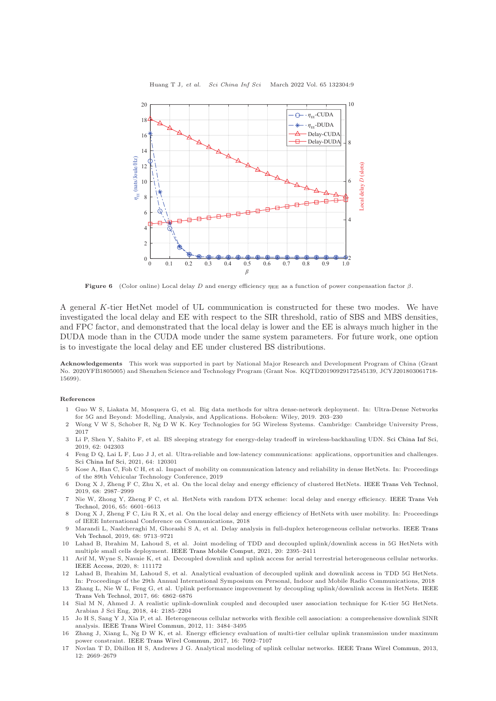

Huang T J, et al. Sci China Inf Sci March 2022 Vol. 65 132304:9

Figure 6 (Color online) Local delay D and energy efficiency  $\eta_{EE}$  as a function of power conpensation factor  $\beta$ .

A general K-tier HetNet model of UL communication is constructed for these two modes. We have investigated the local delay and EE with respect to the SIR threshold, ratio of SBS and MBS densities, and FPC factor, and demonstrated that the local delay is lower and the EE is always much higher in the DUDA mode than in the CUDA mode under the same system parameters. For future work, one option is to investigate the local delay and EE under clustered BS distributions.

Acknowledgements This work was supported in part by National Major Research and Development Program of China (Grant No. 2020YFB1805005) and Shenzhen Science and Technology Program (Grant Nos. KQTD20190929172545139, JCYJ201803061718- 15699).

#### <span id="page-8-0"></span>References

- 1 Guo W S, Liakata M, Mosquera G, et al. Big data methods for ultra dense-network deployment. In: Ultra-Dense Networks for 5G and Beyond: Modelling, Analysis, and Applications. Hoboken: Wiley, 2019. 203–230
- <span id="page-8-1"></span>2 Wong V W S, Schober R, Ng D W K. Key Technologies for 5G Wireless Systems. Cambridge: Cambridge University Press, 2017
- <span id="page-8-2"></span>3 Li P, Shen Y, Sahito F, et al. BS sleeping strategy for energy-delay tradeoff in wireless-backhauling UDN. [Sci China Inf Sci,](https://doi.org/10.1007/s11432-018-9494-9) 2019, 62: 042303
- <span id="page-8-3"></span>4 Feng D Q, Lai L F, Luo J J, et al. Ultra-reliable and low-latency communications: applications, opportunities and challenges. [Sci China Inf Sci,](https://doi.org/10.1007/s11432-020-2852-1) 2021, 64: 120301
- <span id="page-8-4"></span>5 Kose A, Han C, Foh C H, et al. Impact of mobility on communication latency and reliability in dense HetNets. In: Proceedings of the 89th Vehicular Technology Conference, 2019
- <span id="page-8-5"></span>6 Dong X J, Zheng F C, Zhu X, et al. On the local delay and energy efficiency of clustered HetNets. [IEEE Trans Veh Technol,](https://doi.org/10.1109/TVT.2019.2896291) 2019, 68: 2987–2999
- <span id="page-8-6"></span>7 Nie W, [Zhong Y, Zheng F C, et al. HetNets with random DTX scheme: local delay and energy efficiency.](https://doi.org/10.1109/TVT.2015.2477374) IEEE Trans Veh Technol, 2016, 65: 6601–6613
- <span id="page-8-7"></span>8 Dong X J, Zheng F C, Liu R X, et al. On the local delay and energy efficiency of HetNets with user mobility. In: Proceedings of IEEE International Conference on Communications, 2018
- <span id="page-8-8"></span>9 Marandi L, [Naslcheraghi M, Ghorashi S A, et al. Delay analysis in full-duplex heterogeneous cellular networks.](https://doi.org/10.1109/TVT.2019.2932191) IEEE Trans Veh Technol, 2019, 68: 9713–9721
- <span id="page-8-9"></span>10 Lahad B, Ibrahim M, Lahoud S, et al. Joint modeling of TDD and decoupled uplink/downlink access in 5G HetNets with multiple small cells deployment. [IEEE Trans Mobile Comput,](https://doi.org/10.1109/TMC.2020.2979447) 2021, 20: 2395–2411
- <span id="page-8-10"></span>11 Arif M, Wyne S, Navaie K, et al. Decoupled downlink and uplink access for aerial terrestrial heterogeneous cellular networks. [IEEE Access,](https://doi.org/10.1109/ACCESS.2020.3002328) 2020, 8: 111172
- <span id="page-8-11"></span>12 Lahad B, Ibrahim M, Lahoud S, et al. Analytical evaluation of decoupled uplink and downlink access in TDD 5G HetNets. In: Proceedings of the 29th Annual International Symposium on Personal, Indoor and Mobile Radio Communications, 2018
- <span id="page-8-12"></span>13 Zhang L, Nie W L, [Feng G, et al. Uplink performance improvement by decoupling uplink/downlink access in HetNets.](https://doi.org/10.1109/TVT.2017.2653799) IEEE Trans Veh Technol, 2017, 66: 6862–6876
- <span id="page-8-13"></span>14 Sial M N, Ahmed J. A realistic uplink-downlink coupled and decoupled user association technique for K-tier 5G HetNets. Arabian J Sci Eng, 2018, 44: 2185–2204
- <span id="page-8-14"></span>15 Jo H S, Sang Y J, Xia P, et al. Heterogeneous cellular networks with flexible cell association: a comprehensive downlink SINR analysis. [IEEE Trans Wirel Commun,](https://doi.org/10.1109/TWC.2012.081612.111361) 2012, 11: 3484–3495
- <span id="page-8-15"></span>16 Zhang J, Xiang L, Ng D W K, et al. Energy efficiency evaluation of multi-tier cellular uplink transmission under maximum power constraint. [IEEE Trans Wirel Commun,](https://doi.org/10.1109/TWC.2017.2739142) 2017, 16: 7092–7107
- <span id="page-8-16"></span>17 Novlan T D, Dhillon H S, Andrews J G. Analytical modeling of uplink cellular networks. [IEEE Trans Wirel Commun,](https://doi.org/10.1109/TWC.2013.050613.120325) 2013, 12: 2669–2679